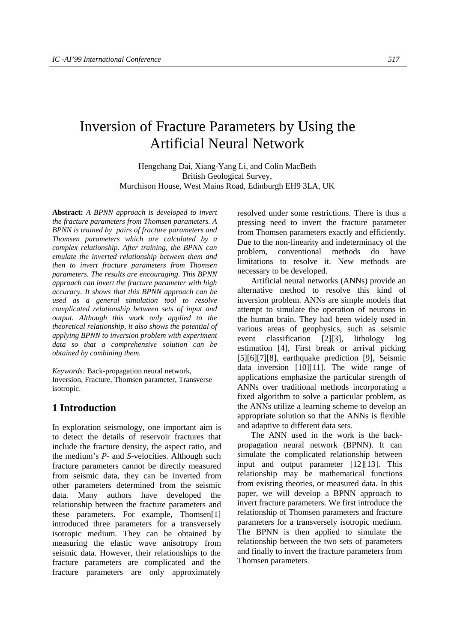# Inversion of Fracture Parameters by Using the Artificial Neural Network

Hengchang Dai, Xiang-Yang Li, and Colin MacBeth British Geological Survey, Murchison House, West Mains Road, Edinburgh EH9 3LA, UK

**Abstract:** *A BPNN approach is developed to invert the fracture parameters from Thomsen parameters. A BPNN is trained by pairs of fracture parameters and Thomsen parameters which are calculated by a complex relationship. After training, the BPNN can emulate the inverted relationship between them and then to invert fracture parameters from Thomsen parameters. The results are encouraging. This BPNN approach can invert the fracture parameter with high accuracy. It shows that this BPNN approach can be used as a general simulation tool to resolve complicated relationship between sets of input and output. Although this work only applied to the theoretical relationship, it also shows the potential of applying BPNN to inversion problem with experiment data so that a comprehensive solution can be obtained by combining them.*

*Keywords:* Back-propagation neural network, Inversion, Fracture, Thomsen parameter, Transverse isotropic.

# **1 Introduction**

In exploration seismology, one important aim is to detect the details of reservoir fractures that include the fracture density, the aspect ratio, and the medium's *P*- and *S*-velocities. Although such fracture parameters cannot be directly measured from seismic data, they can be inverted from other parameters determined from the seismic data. Many authors have developed the relationship between the fracture parameters and these parameters. For example, Thomsen[1] introduced three parameters for a transversely isotropic medium. They can be obtained by measuring the elastic wave anisotropy from seismic data. However, their relationships to the fracture parameters are complicated and the fracture parameters are only approximately

resolved under some restrictions. There is thus a pressing need to invert the fracture parameter from Thomsen parameters exactly and efficiently. Due to the non-linearity and indeterminacy of the problem, conventional methods do have limitations to resolve it. New methods are necessary to be developed.

Artificial neural networks (ANNs) provide an alternative method to resolve this kind of inversion problem. ANNs are simple models that attempt to simulate the operation of neurons in the human brain. They had been widely used in various areas of geophysics, such as seismic event classification [2][3], lithology log estimation [4], First break or arrival picking [5][6][7][8], earthquake prediction [9], Seismic data inversion [10][11]. The wide range of applications emphasize the particular strength of ANNs over traditional methods incorporating a fixed algorithm to solve a particular problem, as the ANNs utilize a learning scheme to develop an appropriate solution so that the ANNs is flexible and adaptive to different data sets.

The ANN used in the work is the backpropagation neural network (BPNN). It can simulate the complicated relationship between input and output parameter [12][13]. This relationship may be mathematical functions from existing theories, or measured data. In this paper, we will develop a BPNN approach to invert fracture parameters. We first introduce the relationship of Thomsen parameters and fracture parameters for a transversely isotropic medium. The BPNN is then applied to simulate the relationship between the two sets of parameters and finally to invert the fracture parameters from Thomsen parameters.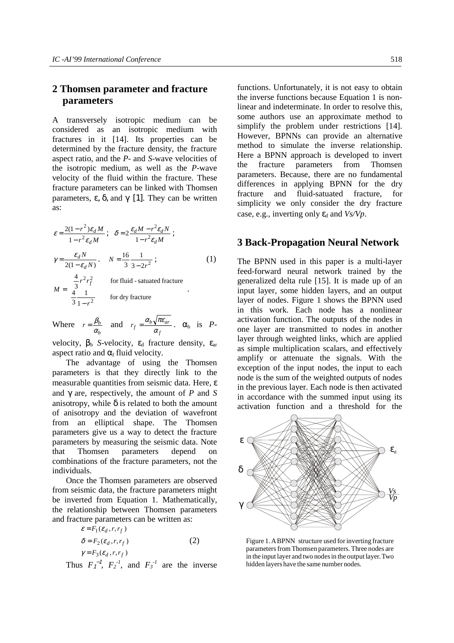## **2 Thomsen parameter and fracture parameters**

A transversely isotropic medium can be considered as an isotropic medium with fractures in it [14]. Its properties can be determined by the fracture density, the fracture aspect ratio, and the *P*- and *S*-wave velocities of the isotropic medium, as well as the *P*-wave velocity of the fluid within the fracture. These fracture parameters can be linked with Thomsen parameters, ε, δ, and  $γ$  [1]. They can be written as:

$$
\varepsilon = \frac{2(1 - r^2)\varepsilon_d M}{1 - r^2 \varepsilon_d M} ; \quad \delta = 2 \frac{\varepsilon_d M - r^2 \varepsilon_d N}{1 - r^2 \varepsilon_d M} ;
$$
  
\n
$$
\gamma = \frac{\varepsilon_d N}{2(1 - \varepsilon_d N)} , \quad N = \frac{16}{3} \frac{1}{3 - 2r^2} ;
$$
  
\n
$$
M = \begin{cases} \frac{4}{3} r^2 r_f^2 & \text{for fluid - saturated fracture} \\ \frac{4}{3} \frac{1}{1 - r^2} & \text{for dry fracture} \end{cases}
$$

Where 
$$
r = \frac{\beta_b}{\alpha_b}
$$
 and  $r_f = \frac{\alpha_b \sqrt{\pi \epsilon_{ar}}}{\alpha_f}$ .  $\alpha_b$  is P-

velocity,  $\beta_b$  *S*-velocity,  $\varepsilon_d$  fracture density,  $\varepsilon_{ar}$ aspect ratio and  $\alpha_f$  fluid velocity.

The advantage of using the Thomsen parameters is that they directly link to the measurable quantities from seismic data. Here, ε and γ are, respectively, the amount of *P* and *S* anisotropy, while  $\delta$  is related to both the amount of anisotropy and the deviation of wavefront from an elliptical shape. The Thomsen parameters give us a way to detect the fracture parameters by measuring the seismic data. Note that Thomsen parameters depend on combinations of the fracture parameters, not the individuals.

Once the Thomsen parameters are observed from seismic data, the fracture parameters might be inverted from Equation 1. Mathematically, the relationship between Thomsen parameters and fracture parameters can be written as:

$$
\varepsilon = F_1(\varepsilon_d, r, r_f)
$$
  
\n
$$
\delta = F_2(\varepsilon_d, r, r_f)
$$
  
\n
$$
\gamma = F_3(\varepsilon_d, r, r_f)
$$
\n(2)

Thus  $F_1^{-1}$ ,  $F_2^{-1}$ , and  $F_3^{-1}$  are the inverse

functions. Unfortunately, it is not easy to obtain the inverse functions because Equation 1 is nonlinear and indeterminate. In order to resolve this, some authors use an approximate method to simplify the problem under restrictions [14]. However, BPNNs can provide an alternative method to simulate the inverse relationship. Here a BPNN approach is developed to invert the fracture parameters from Thomsen parameters. Because, there are no fundamental differences in applying BPNN for the dry fracture and fluid-satuated fracture, for simplicity we only consider the dry fracture case, e.g., inverting only  $\varepsilon_d$  and *Vs/Vp*.

#### **3 Back-Propagation Neural Network**

The BPNN used in this paper is a multi-layer feed-forward neural network trained by the generalized delta rule [15]. It is made up of an input layer, some hidden layers, and an output layer of nodes. Figure 1 shows the BPNN used in this work. Each node has a nonlinear activation function. The outputs of the nodes in one layer are transmitted to nodes in another layer through weighted links, which are applied as simple multiplication scalars, and effectively amplify or attenuate the signals. With the exception of the input nodes, the input to each node is the sum of the weighted outputs of nodes in the previous layer. Each node is then activated in accordance with the summed input using its activation function and a threshold for the



Figure 1. A BPNN structure used for inverting fracture parameters from Thomsen parameters. Three nodes are in the input layer and two nodes in the output layer. Two hidden layers have the same number nodes.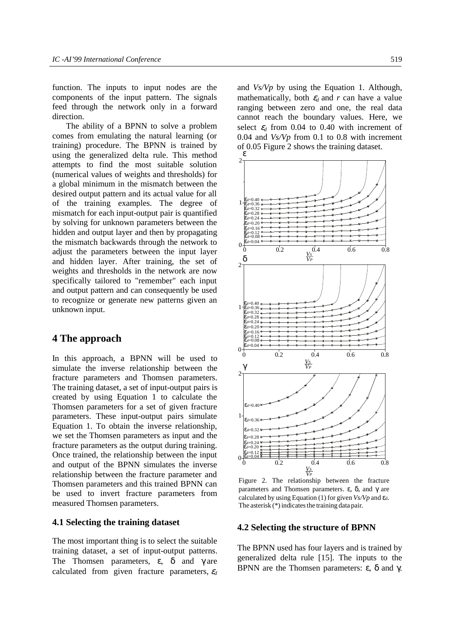function. The inputs to input nodes are the components of the input pattern. The signals feed through the network only in a forward direction.

The ability of a BPNN to solve a problem comes from emulating the natural learning (or training) procedure. The BPNN is trained by using the generalized delta rule. This method attempts to find the most suitable solution (numerical values of weights and thresholds) for a global minimum in the mismatch between the desired output pattern and its actual value for all of the training examples. The degree of mismatch for each input-output pair is quantified by solving for unknown parameters between the hidden and output layer and then by propagating the mismatch backwards through the network to adjust the parameters between the input layer and hidden layer. After training, the set of weights and thresholds in the network are now specifically tailored to "remember" each input and output pattern and can consequently be used to recognize or generate new patterns given an unknown input.

## **4 The approach**

In this approach, a BPNN will be used to simulate the inverse relationship between the fracture parameters and Thomsen parameters. The training dataset, a set of input-output pairs is created by using Equation 1 to calculate the Thomsen parameters for a set of given fracture parameters. These input-output pairs simulate Equation 1. To obtain the inverse relationship, we set the Thomsen parameters as input and the fracture parameters as the output during training. Once trained, the relationship between the input and output of the BPNN simulates the inverse relationship between the fracture parameter and Thomsen parameters and this trained BPNN can be used to invert fracture parameters from measured Thomsen parameters.

### **4.1 Selecting the training dataset**

The most important thing is to select the suitable training dataset, a set of input-output patterns. The Thomsen parameters,  $\varepsilon$ ,  $\delta$  and  $\gamma$  are calculated from given fracture parameters,  $\varepsilon_d$  and *Vs/Vp* by using the Equation 1. Although, mathematically, both  $\varepsilon_d$  and r can have a value ranging between zero and one, the real data cannot reach the boundary values. Here, we select  $\varepsilon_d$  from 0.04 to 0.40 with increment of 0.04 and *Vs/Vp* from 0.1 to 0.8 with increment of 0.05 Figure 2 shows the training dataset. ε



Figure 2. The relationship between the fracture The asterisk (\*) indicates the training data pair. parameters and Thomsen parameters. ε,  $δ$ , and  $γ$  are calculated by using Equation (1) for given  $V_s/V_p$  and  $\varepsilon_d$ .

#### **4.2 Selecting the structure of BPNN**

The BPNN used has four layers and is trained by generalized delta rule [15]. The inputs to the BPNN are the Thomsen parameters: ε, δ and γ.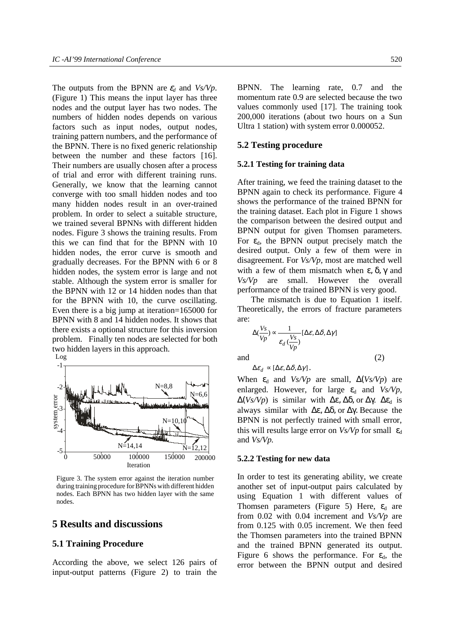The outputs from the BPNN are  $\varepsilon_d$  and *Vs/Vp*. (Figure 1) This means the input layer has three nodes and the output layer has two nodes. The numbers of hidden nodes depends on various factors such as input nodes, output nodes, training pattern numbers, and the performance of the BPNN. There is no fixed generic relationship between the number and these factors [16]. Their numbers are usually chosen after a process of trial and error with different training runs. Generally, we know that the learning cannot converge with too small hidden nodes and too many hidden nodes result in an over-trained problem. In order to select a suitable structure, we trained several BPNNs with different hidden nodes. Figure 3 shows the training results. From this we can find that for the BPNN with 10 hidden nodes, the error curve is smooth and gradually decreases. For the BPNN with 6 or 8 hidden nodes, the system error is large and not stable. Although the system error is smaller for the BPNN with 12 or 14 hidden nodes than that for the BPNN with 10, the curve oscillating. Even there is a big jump at iteration=165000 for BPNN with 8 and 14 hidden nodes. It shows that there exists a optional structure for this inversion problem. Finally ten nodes are selected for both two hidden layers in this approach.



Figure 3. The system error against the iteration number during training procedure for BPNNs with different hidden nodes. Each BPNN has two hidden layer with the same nodes.

## **5 Results and discussions**

#### **5.1 Training Procedure**

According the above, we select 126 pairs of input-output patterns (Figure 2) to train the

BPNN. The learning rate, 0.7 and the momentum rate 0.9 are selected because the two values commonly used [17]. The training took 200,000 iterations (about two hours on a Sun Ultra 1 station) with system error 0.000052.

#### **5.2 Testing procedure**

#### **5.2.1 Testing for training data**

After training, we feed the training dataset to the BPNN again to check its performance. Figure 4 shows the performance of the trained BPNN for the training dataset. Each plot in Figure 1 shows the comparison between the desired output and BPNN output for given Thomsen parameters. For  $\varepsilon_{d}$ , the BPNN output precisely match the desired output. Only a few of them were in disagreement. For *Vs/Vp,* most are matched well with a few of them mismatch when  $\varepsilon$ ,  $\delta$ ,  $\gamma$  and *Vs/Vp* are small. However the overall performance of the trained BPNN is very good.

The mismatch is due to Equation 1 itself. Theoretically, the errors of fracture parameters are:

$$
\Delta(\frac{V_s}{Vp}) \propto \frac{1}{\varepsilon_d (\frac{V_s}{Vp})} [\Delta \varepsilon, \Delta \delta, \Delta \gamma]
$$

and  $(2)$ 

 $\Delta \varepsilon_d \propto [\Delta \varepsilon, \Delta \delta, \Delta \gamma]$ .

When  $\varepsilon_d$  and *Vs/Vp* are small,  $\Delta (Vs/Vp)$  are enlarged. However, for large  $\varepsilon_d$  and  $Vs/Vp$ ,  $\Delta(Vs/Vp)$  is similar with  $\Delta \varepsilon$ ,  $\Delta \delta$ , or  $\Delta \gamma$ .  $\Delta \varepsilon_d$  is always similar with ∆ε, ∆δ, or ∆γ. Because the BPNN is not perfectly trained with small error, this will results large error on  $Vs/Vp$  for small  $\varepsilon_d$ and *Vs/Vp.*

#### **5.2.2 Testing for new data**

In order to test its generating ability, we create another set of input-output pairs calculated by using Equation 1 with different values of Thomsen parameters (Figure 5) Here,  $\varepsilon_d$  are from 0.02 with 0.04 increment and *Vs/Vp* are from 0.125 with 0.05 increment. We then feed the Thomsen parameters into the trained BPNN and the trained BPNN generated its output. Figure 6 shows the performance. For  $\varepsilon_d$ , the error between the BPNN output and desired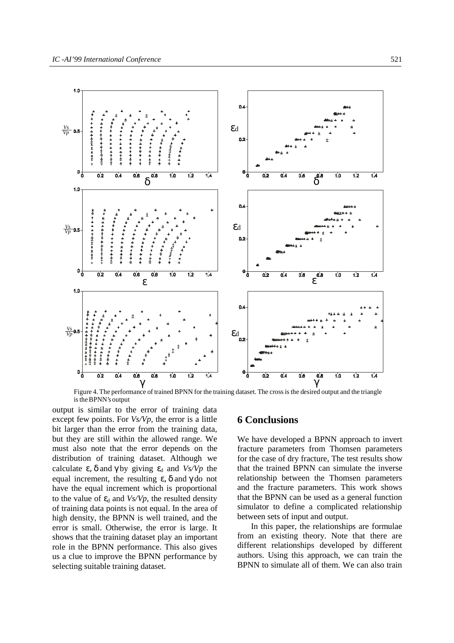

Figure 4. The performance of trained BPNN for the training dataset. The cross is the desired output and the triangle is the BPNN's output

output is similar to the error of training data except few points. For *Vs/Vp,* the error is a little bit larger than the error from the training data, but they are still within the allowed range. We must also note that the error depends on the distribution of training dataset. Although we calculate  $\varepsilon$ ,  $\delta$  and  $\gamma$  by giving  $\varepsilon_d$  and  $V_s/V_p$  the equal increment, the resulting  $ε$ ,  $δ$  and  $γ$  do not have the equal increment which is proportional to the value of  $\varepsilon_d$  and *Vs/Vp*, the resulted density of training data points is not equal. In the area of high density, the BPNN is well trained, and the error is small. Otherwise, the error is large. It shows that the training dataset play an important role in the BPNN performance. This also gives us a clue to improve the BPNN performance by selecting suitable training dataset.

## **6 Conclusions**

We have developed a BPNN approach to invert fracture parameters from Thomsen parameters for the case of dry fracture, The test results show that the trained BPNN can simulate the inverse relationship between the Thomsen parameters and the fracture parameters. This work shows that the BPNN can be used as a general function simulator to define a complicated relationship between sets of input and output.

In this paper, the relationships are formulae from an existing theory. Note that there are different relationships developed by different authors. Using this approach, we can train the BPNN to simulate all of them. We can also train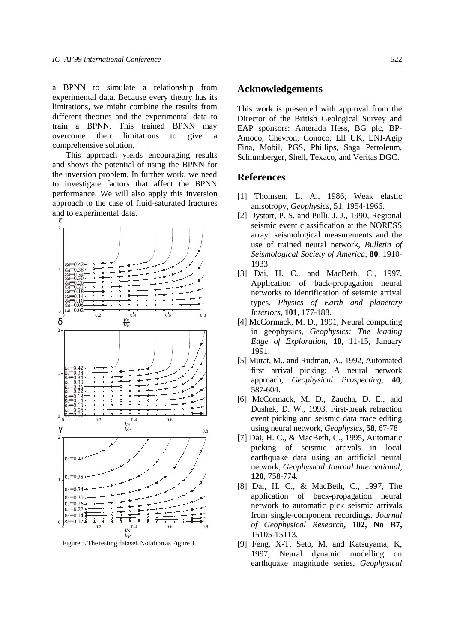a BPNN to simulate a relationship from experimental data. Because every theory has its limitations, we might combine the results from different theories and the experimental data to train a BPNN. This trained BPNN may overcome their limitations to give a comprehensive solution.

This approach yields encouraging results and shows the potential of using the BPNN for the inversion problem. In further work, we need to investigate factors that affect the BPNN performance. We will also apply this inversion approach to the case of fluid-saturated fractures and to experimental data.



Figure 5. The testing dataset. Notation as Figure 3.

## **Acknowledgements**

This work is presented with approval from the Director of the British Geological Survey and EAP sponsors: Amerada Hess, BG plc, BP-Amoco, Chevron, Conoco, Elf UK, ENI-Agip Fina, Mobil, PGS, Phillips, Saga Petroleum, Schlumberger, Shell, Texaco, and Veritas DGC.

## **References**

- [1] Thomsen, L. A., 1986, Weak elastic anisotropy, *Geophysics*, 51, 1954-1966.
- [2] Dystart, P. S. and Pulli, J. J., 1990, Regional seismic event classification at the NORESS array: seismological measurements and the use of trained neural network, *Bulletin of Seismological Society of America,* **80**, 1910- 1933
- [3] Dai, H. C., and MacBeth, C., 1997, Application of back-propagation neural networks to identification of seismic arrival types, *Physics of Earth and planetary Interiors,* **101**, 177-188.
- [4] McCormack, M. D., 1991, Neural computing in geophysics, *Geophysics: The leading Edge of Exploration,* **10,** 11-15, January 1991.
- [5] Murat, M., and Rudman, A., 1992, Automated first arrival picking: A neural network approach, *Geophysical Prospecting*, **40**, 587-604.
- [6] McCormack, M. D., Zaucha, D. E., and Dushek, D. W., 1993, First-break refraction event picking and seismic data trace editing using neural network, *Geophysics*, **58**, 67-78
- [7] Dai, H. C., & MacBeth, C., 1995, Automatic picking of seismic arrivals in local earthquake data using an artificial neural network, *Geophysical Journal International,* **120**, 758-774.
- [8] Dai, H. C., & MacBeth, C., 1997, The application of back-propagation neural network to automatic pick seismic arrivals from single-component recordings. *Journal of Geophysical Research***, 102, No B7,** 15105-15113.
- [9] Feng, X-T, Seto, M, and Katsuyama, K, 1997, Neural dynamic modelling on earthquake magnitude series, *Geophysical*